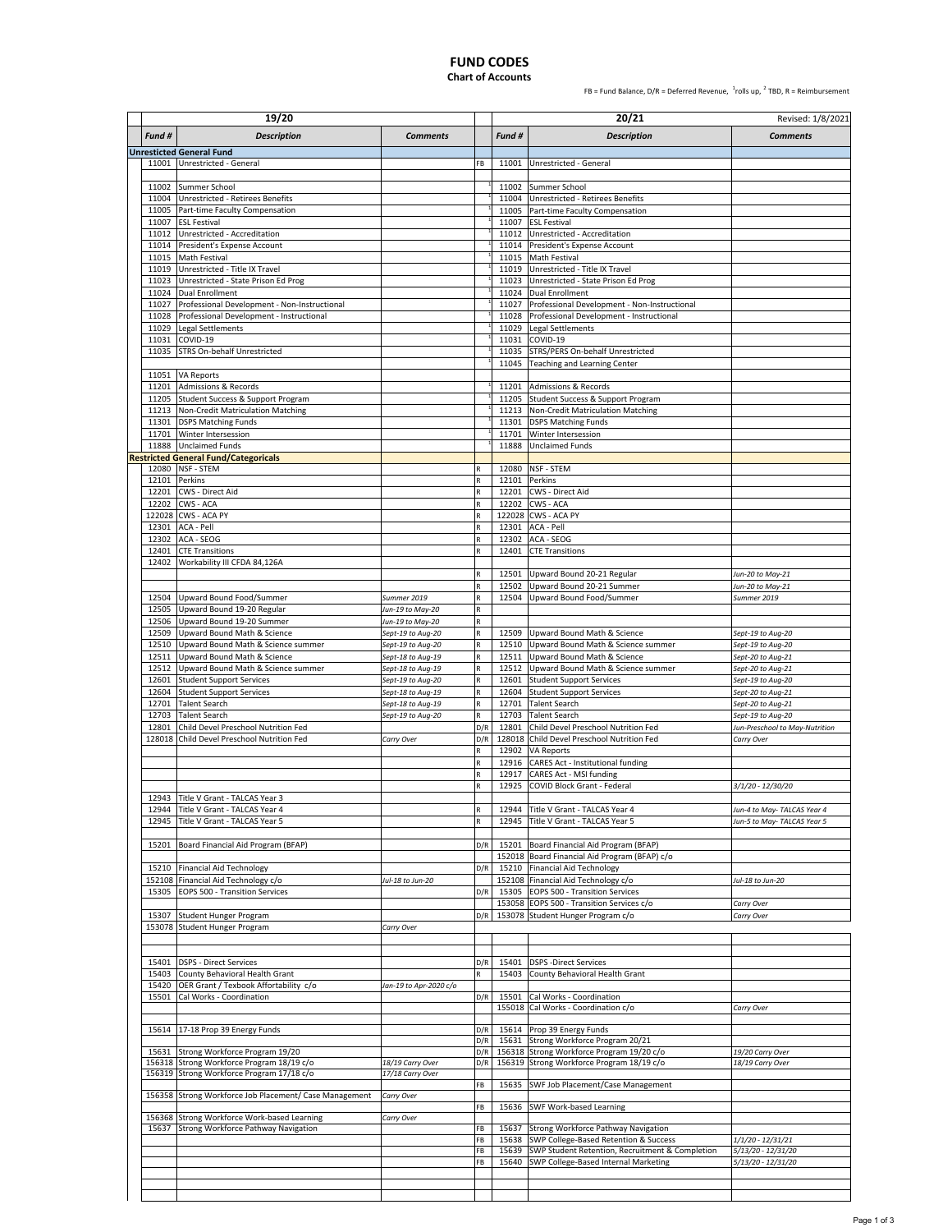## **FUND CODES**

### **Chart of Accounts**

FB = Fund Balance,  $D/R$  = Deferred Revenue,  $\frac{1}{2}$ rolls up,  $\frac{2}{3}$  TBD, R = Reimbursement

|                | 19/20                                                                                  |                                      |          |                | 20/21                                                                                    | Revised: 1/8/2021                       |
|----------------|----------------------------------------------------------------------------------------|--------------------------------------|----------|----------------|------------------------------------------------------------------------------------------|-----------------------------------------|
| Fund #         | <b>Description</b>                                                                     | <b>Comments</b>                      |          | Fund #         | <b>Description</b>                                                                       | <b>Comments</b>                         |
|                | <b>Unresticted General Fund</b>                                                        |                                      |          |                |                                                                                          |                                         |
|                | 11001 Unrestricted - General                                                           |                                      | FB       | 11001          | Unrestricted - General                                                                   |                                         |
|                |                                                                                        |                                      |          |                |                                                                                          |                                         |
| 11002          | Summer School                                                                          |                                      |          | 11002          | Summer School                                                                            |                                         |
| 11004          | Unrestricted - Retirees Benefits                                                       |                                      |          | 11004          | Unrestricted - Retirees Benefits                                                         |                                         |
| 11005<br>11007 | Part-time Faculty Compensation<br><b>ESL Festival</b>                                  |                                      |          | 11007          | 11005 Part-time Faculty Compensation<br><b>ESL Festival</b>                              |                                         |
| 11012          | Unrestricted - Accreditation                                                           |                                      |          | 11012          | Unrestricted - Accreditation                                                             |                                         |
|                | 11014 President's Expense Account                                                      |                                      |          | 11014          | President's Expense Account                                                              |                                         |
| 11015          | Math Festival                                                                          |                                      |          | 11015          | Math Festival                                                                            |                                         |
|                | 11019 Unrestricted - Title IX Travel                                                   |                                      |          |                | 11019 Unrestricted - Title IX Travel                                                     |                                         |
| 11023          | Unrestricted - State Prison Ed Prog                                                    |                                      |          | 11023          | Unrestricted - State Prison Ed Prog                                                      |                                         |
| 11024          | Dual Enrollment                                                                        |                                      |          | 11024          | Dual Enrollment                                                                          |                                         |
| 11027          | Professional Development - Non-Instructional                                           |                                      |          | 11027          | Professional Development - Non-Instructional                                             |                                         |
| 11028          | Professional Development - Instructional                                               |                                      |          | 11028          | Professional Development - Instructional                                                 |                                         |
| 11029          | Legal Settlements                                                                      |                                      |          | 11029          | Legal Settlements                                                                        |                                         |
| 11031<br>11035 | COVID-19<br>STRS On-behalf Unrestricted                                                |                                      |          | 11031<br>11035 | COVID-19<br>STRS/PERS On-behalf Unrestricted                                             |                                         |
|                |                                                                                        |                                      |          | 11045          | Teaching and Learning Center                                                             |                                         |
| 11051          | <b>VA Reports</b>                                                                      |                                      |          |                |                                                                                          |                                         |
| 11201          | Admissions & Records                                                                   |                                      |          | 11201          | Admissions & Records                                                                     |                                         |
|                | 11205 Student Success & Support Program                                                |                                      |          |                | 11205 Student Success & Support Program                                                  |                                         |
|                | 11213 Non-Credit Matriculation Matching                                                |                                      |          |                | 11213 Non-Credit Matriculation Matching                                                  |                                         |
|                | 11301 DSPS Matching Funds                                                              |                                      |          |                | 11301 DSPS Matching Funds                                                                |                                         |
| 11701          | Winter Intersession                                                                    |                                      |          | 11701          | Winter Intersession                                                                      |                                         |
| 11888          | <b>Unclaimed Funds</b>                                                                 |                                      |          | 11888          | <b>Unclaimed Funds</b>                                                                   |                                         |
|                | <b>Restricted General Fund/Categoricals</b>                                            |                                      |          |                |                                                                                          |                                         |
| 12080<br>12101 | NSF - STEM<br>Perkins                                                                  |                                      | R<br>R   | 12080<br>12101 | NSF - STEM<br>Perkins                                                                    |                                         |
| 12201          | <b>CWS - Direct Aid</b>                                                                |                                      | R        | 12201          | CWS - Direct Aid                                                                         |                                         |
| 12202          | CWS - ACA                                                                              |                                      | R        | 12202          | CWS - ACA                                                                                |                                         |
| 122028         | CWS - ACA PY                                                                           |                                      | R        |                | 122028 CWS - ACA PY                                                                      |                                         |
| 12301          | ACA - Pell                                                                             |                                      | R        | 12301          | ACA - Pell                                                                               |                                         |
| 12302          | ACA - SEOG                                                                             |                                      | R        | 12302          | ACA - SEOG                                                                               |                                         |
| 12401          | <b>CTE Transitions</b>                                                                 |                                      | R        | 12401          | <b>CTE Transitions</b>                                                                   |                                         |
|                | 12402 Workability III CFDA 84,126A                                                     |                                      |          |                |                                                                                          |                                         |
|                |                                                                                        |                                      | R        |                | 12501 Upward Bound 20-21 Regular                                                         | Jun-20 to May-21                        |
|                |                                                                                        |                                      | R        | 12502          | Upward Bound 20-21 Summer                                                                | Jun-20 to May-21                        |
| 12504          | Upward Bound Food/Summer                                                               | Summer 2019                          | R<br>R   | 12504          | Upward Bound Food/Summer                                                                 | Summer 2019                             |
| 12505<br>12506 | Upward Bound 19-20 Regular<br>Upward Bound 19-20 Summer                                | Jun-19 to May-20<br>Jun-19 to May-20 | R        |                |                                                                                          |                                         |
| 12509          | Upward Bound Math & Science                                                            | Sept-19 to Aug-20                    | R        | 12509          | Upward Bound Math & Science                                                              | Sept-19 to Aug-20                       |
| 12510          | Upward Bound Math & Science summer                                                     | Sept-19 to Aug-20                    | R        | 12510          | Upward Bound Math & Science summer                                                       | Sept-19 to Aug-20                       |
| 12511          | Upward Bound Math & Science                                                            | Sept-18 to Aug-19                    | R        | 12511          | Upward Bound Math & Science                                                              | Sept-20 to Aug-21                       |
| 12512          | Upward Bound Math & Science summer                                                     | Sept-18 to Aug-19                    | R        | 12512          | Upward Bound Math & Science summer                                                       | Sept-20 to Aug-21                       |
| 12601          | <b>Student Support Services</b>                                                        | Sept-19 to Aug-20                    | R        | 12601          | <b>Student Support Services</b>                                                          | Sept-19 to Aug-20                       |
| 12604          | <b>Student Support Services</b>                                                        | Sept-18 to Aug-19                    | R        | 12604          | <b>Student Support Services</b>                                                          | Sept-20 to Aug-21                       |
| 12701          | <b>Talent Search</b>                                                                   | Sept-18 to Aug-19                    | R        | 12701          | <b>Talent Search</b>                                                                     | Sept-20 to Aug-21                       |
| 12703          | <b>Talent Search</b>                                                                   | Sept-19 to Aug-20                    | R        | 12703          | <b>Talent Search</b>                                                                     | Sept-19 to Aug-20                       |
| 12801          | Child Devel Preschool Nutrition Fed                                                    |                                      | D/R      | 12801          | Child Devel Preschool Nutrition Fed                                                      | Jun-Preschool to May-Nutrition          |
| 128018         | Child Devel Preschool Nutrition Fed                                                    | Carry Over                           | D/R      | 12902          | 128018 Child Devel Preschool Nutrition Fed<br><b>VA Reports</b>                          | Carry Over                              |
|                |                                                                                        |                                      | R        | 12916          | CARES Act - Institutional funding                                                        |                                         |
|                |                                                                                        |                                      | R        | 12917          | CARES Act - MSI funding                                                                  |                                         |
|                |                                                                                        |                                      | R        | 12925          | COVID Block Grant - Federal                                                              | 3/1/20 - 12/30/20                       |
|                | 12943 Title V Grant - TALCAS Year 3                                                    |                                      |          |                |                                                                                          |                                         |
|                | 12944 Title V Grant - TALCAS Year 4                                                    |                                      |          |                | 12944 Title V Grant - TALCAS Year 4                                                      | Jun-4 to May- TALCAS Year 4             |
|                | 12945 Title V Grant - TALCAS Year 5                                                    |                                      | R        |                | 12945 Title V Grant - TALCAS Year 5                                                      | Jun-5 to May- TALCAS Year 5             |
|                |                                                                                        |                                      |          |                |                                                                                          |                                         |
|                | 15201 Board Financial Aid Program (BFAP)                                               |                                      | D/R      |                | 15201 Board Financial Aid Program (BFAP)                                                 |                                         |
|                |                                                                                        |                                      |          |                | 152018 Board Financial Aid Program (BFAP) c/o                                            |                                         |
|                | 15210 Financial Aid Technology<br>152108 Financial Aid Technology c/o                  | Jul-18 to Jun-20                     | D/R      |                | 15210 Financial Aid Technology<br>152108 Financial Aid Technology c/o                    | Jul-18 to Jun-20                        |
| 15305          | EOPS 500 - Transition Services                                                         |                                      | D/R      | 15305          | <b>EOPS 500 - Transition Services</b>                                                    |                                         |
|                |                                                                                        |                                      |          |                | 153058 EOPS 500 - Transition Services c/o                                                | Carry Over                              |
| 15307          | Student Hunger Program                                                                 |                                      | D/R      |                | 153078 Student Hunger Program c/o                                                        | Carry Over                              |
|                | 153078 Student Hunger Program                                                          | Carry Over                           |          |                |                                                                                          |                                         |
|                |                                                                                        |                                      |          |                |                                                                                          |                                         |
|                |                                                                                        |                                      |          |                |                                                                                          |                                         |
|                | 15401 DSPS - Direct Services                                                           |                                      | D/R      | 15401          | <b>DSPS</b> - Direct Services                                                            |                                         |
|                | 15403 County Behavioral Health Grant                                                   |                                      | R        | 15403          | County Behavioral Health Grant                                                           |                                         |
|                | 15420 OER Grant / Texbook Affortability c/o<br>15501 Cal Works - Coordination          | Jan-19 to Apr-2020 c/o               | D/R      |                | 15501 Cal Works - Coordination                                                           |                                         |
|                |                                                                                        |                                      |          |                | 155018 Cal Works - Coordination c/o                                                      | Carry Over                              |
|                |                                                                                        |                                      |          |                |                                                                                          |                                         |
|                | 15614 17-18 Prop 39 Energy Funds                                                       |                                      | D/R      |                | 15614 Prop 39 Energy Funds                                                               |                                         |
|                |                                                                                        |                                      | D/R      |                | 15631 Strong Workforce Program 20/21                                                     |                                         |
|                | 15631 Strong Workforce Program 19/20                                                   |                                      | D/R      |                | 156318 Strong Workforce Program 19/20 c/o                                                | 19/20 Carry Over                        |
|                | 156318 Strong Workforce Program 18/19 c/o<br>156319 Strong Workforce Program 17/18 c/o | 18/19 Carry Over                     | D/R      |                | 156319 Strong Workforce Program 18/19 c/o                                                | 18/19 Carry Over                        |
|                |                                                                                        | 17/18 Carry Over                     | FB       | 15635          | SWF Job Placement/Case Management                                                        |                                         |
|                | 156358 Strong Workforce Job Placement/ Case Management                                 | Carry Over                           |          |                |                                                                                          |                                         |
|                |                                                                                        |                                      | FB       | 15636          | SWF Work-based Learning                                                                  |                                         |
|                | 156368 Strong Workforce Work-based Learning                                            | Carry Over                           |          |                |                                                                                          |                                         |
| 15637          | Strong Workforce Pathway Navigation                                                    |                                      | FB       | 15637          | Strong Workforce Pathway Navigation                                                      |                                         |
|                |                                                                                        |                                      | FB<br>FB | 15638<br>15639 | SWP College-Based Retention & Success<br>SWP Student Retention, Recruitment & Completion | 1/1/20 - 12/31/21<br>5/13/20 - 12/31/20 |
|                |                                                                                        |                                      | FB       | 15640          | SWP College-Based Internal Marketing                                                     | 5/13/20 - 12/31/20                      |
|                |                                                                                        |                                      |          |                |                                                                                          |                                         |
|                |                                                                                        |                                      |          |                |                                                                                          |                                         |
|                |                                                                                        |                                      |          |                |                                                                                          |                                         |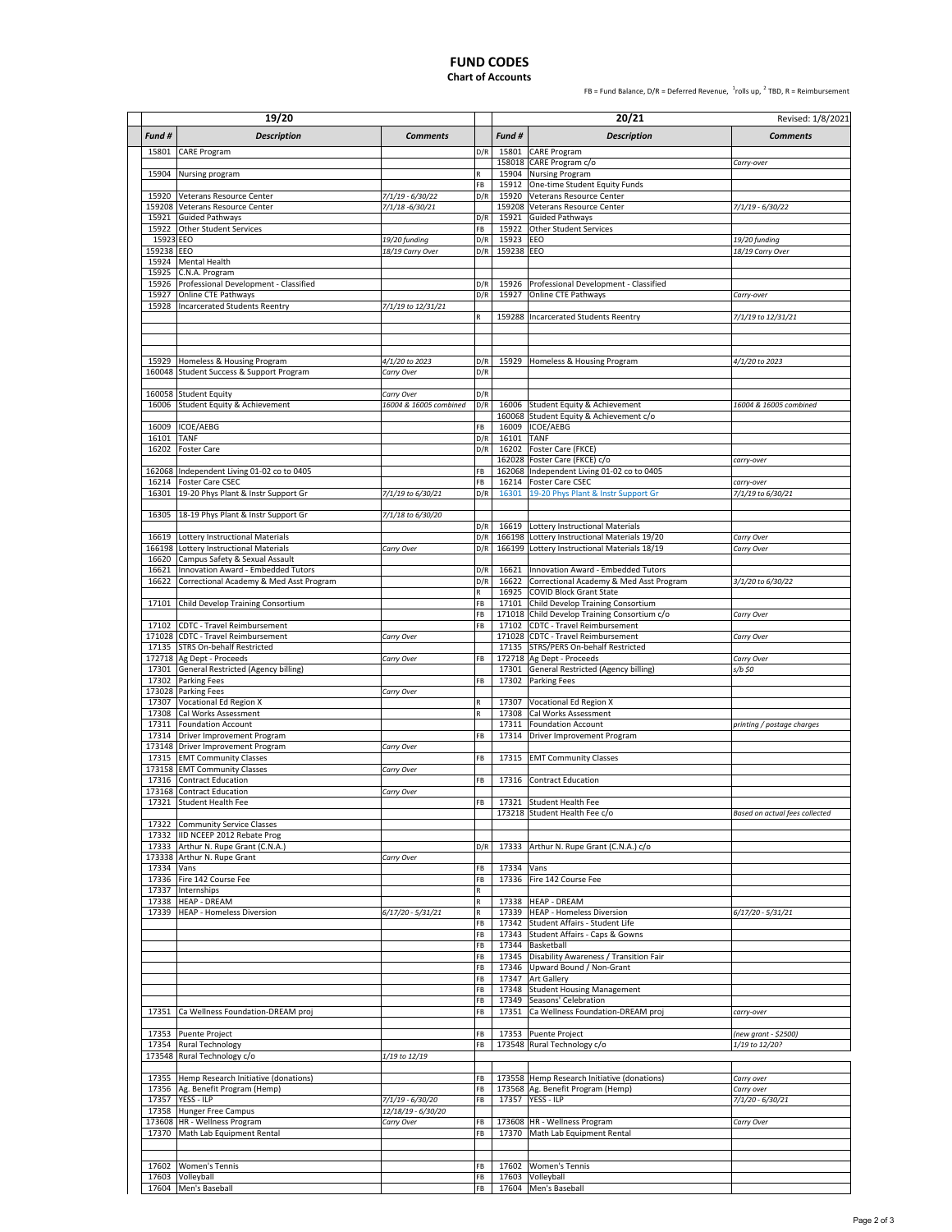#### **FUND CODES Chart of Accounts**

FB = Fund Balance,  $D/R$  = Deferred Revenue,  $\frac{1}{2}$ rolls up,  $\frac{2}{3}$  TBD, R = Reimbursement

|                         | 19/20                                                                            |                                     |            |                     | 20/21                                                                                   | Revised: 1/8/2021               |
|-------------------------|----------------------------------------------------------------------------------|-------------------------------------|------------|---------------------|-----------------------------------------------------------------------------------------|---------------------------------|
| Fund #                  | <b>Description</b>                                                               | <b>Comments</b>                     |            | Fund #              | <b>Description</b>                                                                      | <b>Comments</b>                 |
| 15801                   | <b>CARE Program</b>                                                              |                                     | D/R        |                     | 15801 CARE Program                                                                      |                                 |
|                         |                                                                                  |                                     |            |                     | 158018 CARE Program c/o                                                                 | Carry-over                      |
|                         | 15904 Nursing program                                                            |                                     |            |                     | 15904 Nursing Program                                                                   |                                 |
|                         |                                                                                  |                                     | FB         | 15912               | One-time Student Equity Funds                                                           |                                 |
| 15920                   | Veterans Resource Center<br>159208 Veterans Resource Center                      | 7/1/19 - 6/30/22<br>7/1/18 -6/30/21 | D/R        |                     | 15920 Veterans Resource Center<br>159208 Veterans Resource Center                       | 7/1/19 - 6/30/22                |
| 15921                   | <b>Guided Pathways</b>                                                           |                                     | D/R        | 15921               | <b>Guided Pathways</b>                                                                  |                                 |
| 15922                   | Other Student Services                                                           |                                     | FB         | 15922               | Other Student Services                                                                  |                                 |
| 15923 EEO<br>159238 EEO |                                                                                  | 19/20 funding                       | D/R<br>D/R | 15923<br>159238 EEO | EEO                                                                                     | 19/20 funding                   |
| 15924                   | <b>Mental Health</b>                                                             | 18/19 Carry Over                    |            |                     |                                                                                         | 18/19 Carry Over                |
| 15925                   | C.N.A. Program                                                                   |                                     |            |                     |                                                                                         |                                 |
| 15926                   | Professional Development - Classified                                            |                                     | D/R        | 15926               | Professional Development - Classified                                                   |                                 |
| 15927                   | Online CTE Pathways                                                              |                                     | D/R        |                     | 15927 Online CTE Pathways                                                               | Carry-over                      |
| 15928                   | <b>Incarcerated Students Reentry</b>                                             | 7/1/19 to 12/31/21                  | R          |                     | 159288 Incarcerated Students Reentry                                                    | 7/1/19 to 12/31/21              |
|                         |                                                                                  |                                     |            |                     |                                                                                         |                                 |
|                         |                                                                                  |                                     |            |                     |                                                                                         |                                 |
|                         |                                                                                  |                                     |            |                     |                                                                                         |                                 |
|                         | 15929 Homeless & Housing Program<br>160048 Student Success & Support Program     | 4/1/20 to 2023<br>Carry Over        | D/R<br>D/R |                     | 15929 Homeless & Housing Program                                                        | 4/1/20 to 2023                  |
|                         |                                                                                  |                                     |            |                     |                                                                                         |                                 |
|                         | 160058 Student Equity                                                            | Carry Over                          | D/R        |                     |                                                                                         |                                 |
| 16006                   | <b>Student Equity &amp; Achievement</b>                                          | 16004 & 16005 combined              | D/R        | 16006               | Student Equity & Achievement                                                            | 16004 & 16005 combined          |
| 16009                   | ICOE/AEBG                                                                        |                                     | FB         | 16009               | 160068 Student Equity & Achievement c/o<br>ICOE/AEBG                                    |                                 |
| 16101                   | TANF                                                                             |                                     | D/R        | 16101               | TANF                                                                                    |                                 |
| 16202                   | <b>Foster Care</b>                                                               |                                     | D/R        |                     | 16202 Foster Care (FKCE)                                                                |                                 |
|                         |                                                                                  |                                     |            |                     | 162028 Foster Care (FKCE) c/o                                                           | carry-over                      |
|                         | 162068 Independent Living 01-02 co to 0405                                       |                                     | FB         |                     | 162068 Independent Living 01-02 co to 0405                                              |                                 |
| 16301                   | 16214 Foster Care CSEC<br>19-20 Phys Plant & Instr Support Gr                    | 7/1/19 to 6/30/21                   | FB<br>D/R  | 16301               | 16214 Foster Care CSEC<br>19-20 Phys Plant & Instr Support Gr                           | carry-over<br>7/1/19 to 6/30/21 |
|                         |                                                                                  |                                     |            |                     |                                                                                         |                                 |
| 16305                   | 18-19 Phys Plant & Instr Support Gr                                              | 7/1/18 to 6/30/20                   |            |                     |                                                                                         |                                 |
|                         |                                                                                  |                                     | D/R        | 16619               | Lottery Instructional Materials                                                         |                                 |
| 16619<br>166198         | <b>Lottery Instructional Materials</b><br><b>Lottery Instructional Materials</b> | Carry Over                          | D/R<br>D/R | 166198<br>166199    | Lottery Instructional Materials 19/20<br>Lottery Instructional Materials 18/19          | Carry Over<br>Carry Over        |
| 16620                   | Campus Safety & Sexual Assault                                                   |                                     |            |                     |                                                                                         |                                 |
| 16621                   | Innovation Award - Embedded Tutors                                               |                                     | D/R        | 16621               | Innovation Award - Embedded Tutors                                                      |                                 |
| 16622                   | Correctional Academy & Med Asst Program                                          |                                     | D/R        |                     | 16622 Correctional Academy & Med Asst Program                                           | 3/1/20 to 6/30/22               |
|                         |                                                                                  |                                     | R          |                     | 16925 COVID Block Grant State                                                           |                                 |
|                         | 17101 Child Develop Training Consortium                                          |                                     | FB<br>FB   |                     | 17101 Child Develop Training Consortium<br>171018 Child Develop Training Consortium c/o | Carry Over                      |
|                         | 17102 CDTC - Travel Reimbursement                                                |                                     | FB         |                     | 17102 CDTC - Travel Reimbursement                                                       |                                 |
|                         | 171028 CDTC - Travel Reimbursement                                               | Carry Over                          |            |                     | 171028 CDTC - Travel Reimbursement                                                      | Carry Over                      |
|                         | 17135 STRS On-behalf Restricted                                                  |                                     |            |                     | 17135 STRS/PERS On-behalf Restricted                                                    |                                 |
| 17301                   | 172718 Ag Dept - Proceeds                                                        | Carry Over                          | FB         |                     | 172718 Ag Dept - Proceeds                                                               | Carry Over<br>s/b \$0           |
| 17302                   | General Restricted (Agency billing)<br>Parking Fees                              |                                     | FB         | 17302               | 17301 General Restricted (Agency billing)<br><b>Parking Fees</b>                        |                                 |
|                         | 173028 Parking Fees                                                              | Carry Over                          |            |                     |                                                                                         |                                 |
| 17307                   | Vocational Ed Region X                                                           |                                     |            |                     | 17307 Vocational Ed Region X                                                            |                                 |
| 17308                   | Cal Works Assessment<br>17311 Foundation Account                                 |                                     |            | 17308<br>17311      | Cal Works Assessment<br><b>Foundation Account</b>                                       |                                 |
| 17314                   | Driver Improvement Program                                                       |                                     | FB         | 17314               | Driver Improvement Program                                                              | printing / postage charges      |
|                         | 173148 Driver Improvement Program                                                | Carry Over                          |            |                     |                                                                                         |                                 |
|                         | 17315 EMT Community Classes                                                      |                                     | FB         |                     | 17315 EMT Community Classes                                                             |                                 |
|                         | 173158 EMT Community Classes                                                     | Carry Over                          |            |                     |                                                                                         |                                 |
|                         | 17316 Contract Education<br>173168 Contract Education                            | Carry Over                          | FB         |                     | 17316 Contract Education                                                                |                                 |
|                         | 17321 Student Health Fee                                                         |                                     | FB         |                     | 17321 Student Health Fee                                                                |                                 |
|                         |                                                                                  |                                     |            |                     | 173218 Student Health Fee c/o                                                           | Based on actual fees collected  |
|                         | 17322 Community Service Classes                                                  |                                     |            |                     |                                                                                         |                                 |
|                         | 17332 IID NCEEP 2012 Rebate Prog<br>17333 Arthur N. Rupe Grant (C.N.A.)          |                                     | D/R        |                     | 17333 Arthur N. Rupe Grant (C.N.A.) c/o                                                 |                                 |
|                         | 173338 Arthur N. Rupe Grant                                                      | Carry Over                          |            |                     |                                                                                         |                                 |
| 17334 Vans              |                                                                                  |                                     | FB         | 17334 Vans          |                                                                                         |                                 |
|                         | 17336 Fire 142 Course Fee                                                        |                                     | FB         |                     | 17336 Fire 142 Course Fee                                                               |                                 |
| 17337                   | Internships<br>17338 HEAP - DREAM                                                |                                     | R          |                     | 17338 HEAP - DREAM                                                                      |                                 |
|                         | 17339 HEAP - Homeless Diversion                                                  | $6/17/20 - 5/31/21$                 | R          |                     | 17339 HEAP - Homeless Diversion                                                         | 6/17/20 - 5/31/21               |
|                         |                                                                                  |                                     | FB         |                     | 17342 Student Affairs - Student Life                                                    |                                 |
|                         |                                                                                  |                                     | FB         |                     | 17343 Student Affairs - Caps & Gowns                                                    |                                 |
|                         |                                                                                  |                                     | FB<br>FB   | 17345               | 17344 Basketball<br>Disability Awareness / Transition Fair                              |                                 |
|                         |                                                                                  |                                     | FB         |                     | 17346 Upward Bound / Non-Grant                                                          |                                 |
|                         |                                                                                  |                                     | FB         | 17347               | <b>Art Gallery</b>                                                                      |                                 |
|                         |                                                                                  |                                     | FB         | 17348               | <b>Student Housing Management</b>                                                       |                                 |
|                         | 17351 Ca Wellness Foundation-DREAM proj                                          |                                     | FB<br>FB   |                     | 17349 Seasons' Celebration<br>17351 Ca Wellness Foundation-DREAM proj                   | carry-over                      |
|                         |                                                                                  |                                     |            |                     |                                                                                         |                                 |
|                         | 17353 Puente Project                                                             |                                     | FB         |                     | 17353 Puente Project                                                                    | (new grant - \$2500)            |
| 17354                   | <b>Rural Technology</b>                                                          |                                     | FB         |                     | 173548 Rural Technology c/o                                                             | 1/19 to 12/20?                  |
|                         | 173548 Rural Technology c/o                                                      | 1/19 to 12/19                       |            |                     |                                                                                         |                                 |
| 17355                   | Hemp Research Initiative (donations)                                             |                                     | FB         |                     | 173558 Hemp Research Initiative (donations)                                             | Carry over                      |
|                         | 17356 Ag. Benefit Program (Hemp)                                                 |                                     | FB         |                     | 173568 Ag. Benefit Program (Hemp)                                                       | Carry over                      |
|                         | 17357 YESS - ILP                                                                 | 7/1/19 - 6/30/20                    | FB         |                     | 17357 YESS - ILP                                                                        | 7/1/20 - 6/30/21                |
|                         | 17358 Hunger Free Campus                                                         | 12/18/19 - 6/30/20                  |            |                     |                                                                                         |                                 |
|                         | 173608 HR - Wellness Program<br>17370 Math Lab Equipment Rental                  | Carry Over                          | FB<br>FB   |                     | 173608 HR - Wellness Program<br>17370 Math Lab Equipment Rental                         | Carry Over                      |
|                         |                                                                                  |                                     |            |                     |                                                                                         |                                 |
|                         |                                                                                  |                                     |            |                     |                                                                                         |                                 |
| 17602                   | <b>Women's Tennis</b>                                                            |                                     | FB         | 17602               | <b>Women's Tennis</b>                                                                   |                                 |
|                         | 17603 Volleyball                                                                 |                                     | FB<br>FB   |                     | 17603 Volleyball<br>17604 Men's Baseball                                                |                                 |
|                         | 17604 Men's Baseball                                                             |                                     |            |                     |                                                                                         |                                 |